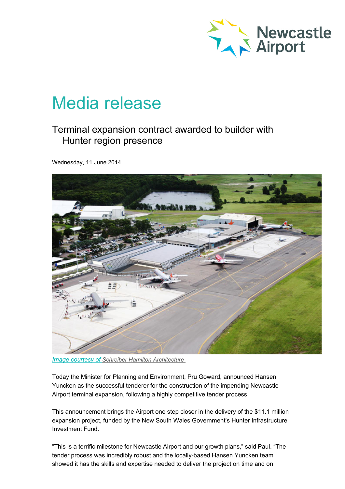

# Media release

## Terminal expansion contract awarded to builder with Hunter region presence

Wednesday, 11 June 2014



*Image courtesy of Schreiber Hamilton [Architecture](http://www.scha.com.au/)*

Today the Minister for Planning and Environment, Pru Goward, announced Hansen Yuncken as the successful tenderer for the construction of the impending Newcastle Airport terminal expansion, following a highly competitive tender process.

This announcement brings the Airport one step closer in the delivery of the \$11.1 million expansion project, funded by the New South Wales Government's Hunter Infrastructure Investment Fund.

"This is a terrific milestone for Newcastle Airport and our growth plans," said Paul. "The tender process was incredibly robust and the locally-based Hansen Yuncken team showed it has the skills and expertise needed to deliver the project on time and on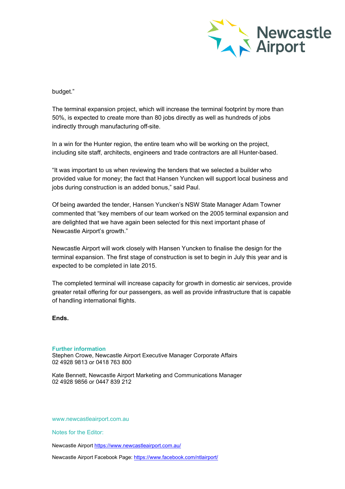

### budget."

The terminal expansion project, which will increase the terminal footprint by more than 50%, is expected to create more than 80 jobs directly as well as hundreds of jobs indirectly through manufacturing off-site.

In a win for the Hunter region, the entire team who will be working on the project, including site staff, architects, engineers and trade contractors are all Hunter-based.

"It was important to us when reviewing the tenders that we selected a builder who provided value for money; the fact that Hansen Yuncken will support local business and jobs during construction is an added bonus," said Paul.

Of being awarded the tender, Hansen Yuncken's NSW State Manager Adam Towner commented that "key members of our team worked on the 2005 terminal expansion and are delighted that we have again been selected for this next important phase of Newcastle Airport's growth."

Newcastle Airport will work closely with Hansen Yuncken to finalise the design for the terminal expansion. The first stage of construction is set to begin in July this year and is expected to be completed in late 2015.

The completed terminal will increase capacity for growth in domestic air services, provide greater retail offering for our passengers, as well as provide infrastructure that is capable of handling international flights.

#### **Ends.**

#### **Further information**

Stephen Crowe, Newcastle Airport Executive Manager Corporate Affairs 02 4928 9813 or 0418 763 800

Kate Bennett, Newcastle Airport Marketing and Communications Manager 02 4928 9856 or 0447 839 212

www.newcastleairport.com.au

Notes for the Editor:

Newcastle Airport <https://www.newcastleairport.com.au/>

Newcastle Airport Facebook Page: <https://www.facebook.com/ntlairport/>